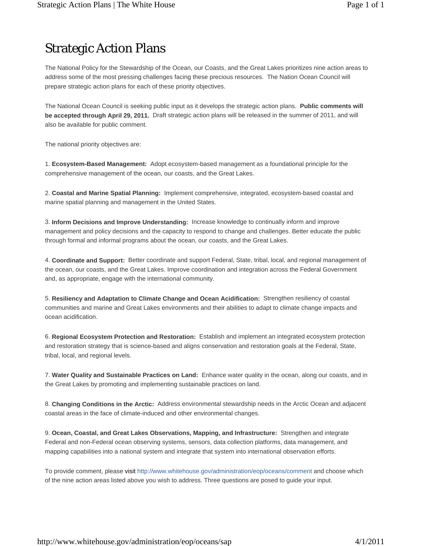# Strategic Action Plans

The National Policy for the Stewardship of the Ocean, our Coasts, and the Great Lakes prioritizes nine action areas to address some of the most pressing challenges facing these precious resources. The Nation Ocean Council will prepare strategic action plans for each of these priority objectives.

The National Ocean Council is seeking public input as it develops the strategic action plans. **Public comments will be accepted through April 29, 2011.** Draft strategic action plans will be released in the summer of 2011, and will also be available for public comment.

The national priority objectives are:

1. **Ecosystem-Based Management:** Adopt ecosystem-based management as a foundational principle for the comprehensive management of the ocean, our coasts, and the Great Lakes.

2. **Coastal and Marine Spatial Planning:** Implement comprehensive, integrated, ecosystem-based coastal and marine spatial planning and management in the United States.

3. **Inform Decisions and Improve Understanding:** Increase knowledge to continually inform and improve management and policy decisions and the capacity to respond to change and challenges. Better educate the public through formal and informal programs about the ocean, our coasts, and the Great Lakes.

4. **Coordinate and Support:** Better coordinate and support Federal, State, tribal, local, and regional management of the ocean, our coasts, and the Great Lakes. Improve coordination and integration across the Federal Government and, as appropriate, engage with the international community.

5. **Resiliency and Adaptation to Climate Change and Ocean Acidification:** Strengthen resiliency of coastal communities and marine and Great Lakes environments and their abilities to adapt to climate change impacts and ocean acidification.

6. **Regional Ecosystem Protection and Restoration:** Establish and implement an integrated ecosystem protection and restoration strategy that is science-based and aligns conservation and restoration goals at the Federal, State, tribal, local, and regional levels.

7. **Water Quality and Sustainable Practices on Land:** Enhance water quality in the ocean, along our coasts, and in the Great Lakes by promoting and implementing sustainable practices on land.

8. **Changing Conditions in the Arctic:** Address environmental stewardship needs in the Arctic Ocean and adjacent coastal areas in the face of climate-induced and other environmental changes.

9. **Ocean, Coastal, and Great Lakes Observations, Mapping, and Infrastructure:** Strengthen and integrate Federal and non-Federal ocean observing systems, sensors, data collection platforms, data management, and mapping capabilities into a national system and integrate that system into international observation efforts.

To provide comment, please visit http://www.whitehouse.gov/administration/eop/oceans/comment and choose which of the nine action areas listed above you wish to address. Three questions are posed to guide your input.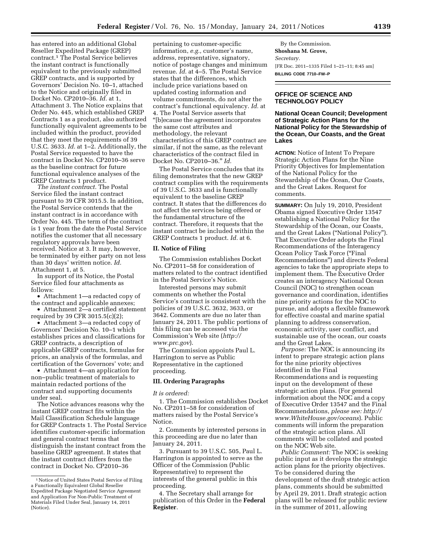has entered into an additional Global Reseller Expedited Package (GREP) contract.1 The Postal Service believes the instant contract is functionally equivalent to the previously submitted GREP contracts, and is supported by Governors' Decision No. 10–1, attached to the Notice and originally filed in Docket No. CP2010–36. *Id.* at 1, Attachment 3. The Notice explains that Order No. 445, which established GREP Contracts 1 as a product, also authorized functionally equivalent agreements to be included within the product, provided that they meet the requirements of 39 U.S.C. 3633. *Id.* at 1–2. Additionally, the Postal Service requested to have the contract in Docket No. CP2010–36 serve as the baseline contract for future functional equivalence analyses of the GREP Contracts 1 product.

*The instant contract.* The Postal Service filed the instant contract pursuant to 39 CFR 3015.5. In addition, the Postal Service contends that the instant contract is in accordance with Order No. 445. The term of the contract is 1 year from the date the Postal Service notifies the customer that all necessary regulatory approvals have been received. Notice at 3. It may, however, be terminated by either party on not less than 30 days' written notice. *Id.*  Attachment 1, at 5.

In support of its Notice, the Postal Service filed four attachments as follows:

• Attachment 1—a redacted copy of the contract and applicable annexes;

• Attachment 2—a certified statement required by 39 CFR 3015.5(c)(2);

• Attachment 3—a redacted copy of Governors' Decision No. 10–1 which establishes prices and classifications for GREP contracts, a description of applicable GREP contracts, formulas for prices, an analysis of the formulas, and certification of the Governors' vote; and

• Attachment 4—an application for non–public treatment of materials to maintain redacted portions of the contract and supporting documents under seal.

The Notice advances reasons why the instant GREP contract fits within the Mail Classification Schedule language for GREP Contracts 1. The Postal Service identifies customer-specific information and general contract terms that distinguish the instant contract from the baseline GREP agreement. It states that the instant contract differs from the contract in Docket No. CP2010–36

pertaining to customer-specific information, *e.g.,* customer's name, address, representative, signatory, notice of postage changes and minimum revenue. *Id.* at 4–5. The Postal Service states that the differences, which include price variations based on updated costing information and volume commitments, do not alter the contract's functional equivalency. *Id.* at 4. The Postal Service asserts that ''[b]ecause the agreement incorporates the same cost attributes and methodology, the relevant characteristics of this GREP contract are similar, if not the same, as the relevant characteristics of the contract filed in Docket No. CP2010–36.'' *Id.* 

The Postal Service concludes that its filing demonstrates that the new GREP contract complies with the requirements of 39 U.S.C. 3633 and is functionally equivalent to the baseline GREP contract. It states that the differences do not affect the services being offered or the fundamental structure of the contract. Therefore, it requests that the instant contract be included within the GREP Contracts 1 product. *Id.* at 6.

#### **II. Notice of Filing**

The Commission establishes Docket No. CP2011–58 for consideration of matters related to the contract identified in the Postal Service's Notice.

Interested persons may submit comments on whether the Postal Service's contract is consistent with the policies of 39 U.S.C. 3632, 3633, or 3642. Comments are due no later than January 24, 2011. The public portions of this filing can be accessed via the Commission's Web site (*[http://](http://www.prc.gov)  [www.prc.gov](http://www.prc.gov)*).

The Commission appoints Paul L. Harrington to serve as Public Representative in the captioned proceeding.

# **III. Ordering Paragraphs**

### *It is ordered:*

1. The Commission establishes Docket No. CP2011–58 for consideration of matters raised by the Postal Service's Notice.

2. Comments by interested persons in this proceeding are due no later than January 24, 2011.

3. Pursuant to 39 U.S.C. 505, Paul L. Harrington is appointed to serve as the Officer of the Commission (Public Representative) to represent the interests of the general public in this proceeding.

4. The Secretary shall arrange for publication of this Order in the **Federal Register**.

By the Commission. **Shoshana M. Grove,**  *Secretary.*  [FR Doc. 2011–1335 Filed 1–21–11; 8:45 am] **BILLING CODE 7710–FW–P** 

## **OFFICE OF SCIENCE AND TECHNOLOGY POLICY**

## **National Ocean Council; Development of Strategic Action Plans for the National Policy for the Stewardship of the Ocean, Our Coasts, and the Great Lakes**

**ACTION:** Notice of Intent To Prepare Strategic Action Plans for the Nine Priority Objectives for Implementation of the National Policy for the Stewardship of the Ocean, Our Coasts, and the Great Lakes. Request for comments.

**SUMMARY:** On July 19, 2010, President Obama signed Executive Order 13547 establishing a National Policy for the Stewardship of the Ocean, our Coasts, and the Great Lakes (''National Policy''). That Executive Order adopts the Final Recommendations of the Interagency Ocean Policy Task Force ("Final Recommendations'') and directs Federal agencies to take the appropriate steps to implement them. The Executive Order creates an interagency National Ocean Council (NOC) to strengthen ocean governance and coordination, identifies nine priority actions for the NOC to pursue, and adopts a flexible framework for effective coastal and marine spatial planning to address conservation, economic activity, user conflict, and sustainable use of the ocean, our coasts and the Great Lakes.

*Purpose:* The NOC is announcing its intent to prepare strategic action plans for the nine priority objectives identified in the Final Recommendations and is requesting input on the development of these strategic action plans. (For general information about the NOC and a copy of Executive Order 13547 and the Final Recommendations, *please see: [http://](http://www.WhiteHouse.gov/oceans)  [www.WhiteHouse.gov/oceans](http://www.WhiteHouse.gov/oceans)*). Public comments will inform the preparation of the strategic action plans. All comments will be collated and posted on the NOC Web site.

*Public Comment:* The NOC is seeking public input as it develops the strategic action plans for the priority objectives. To be considered during the development of the draft strategic action plans, comments should be submitted by April 29, 2011. Draft strategic action plans will be released for public review in the summer of 2011, allowing

<sup>&</sup>lt;sup>1</sup> Notice of United States Postal Service of Filing a Functionally Equivalent Global Reseller Expedited Package Negotiated Service Agreement and Application For Non-Public Treatment of Materials Filed Under Seal, January 14, 2011 (Notice).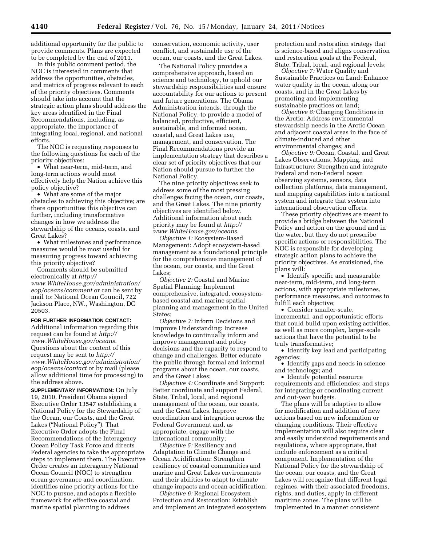additional opportunity for the public to provide comments. Plans are expected to be completed by the end of 2011.

In this public comment period, the NOC is interested in comments that address the opportunities, obstacles, and metrics of progress relevant to each of the priority objectives. Comments should take into account that the strategic action plans should address the key areas identified in the Final Recommendations, including, as appropriate, the importance of integrating local, regional, and national efforts.

The NOC is requesting responses to the following questions for each of the priority objectives:

• What near-term, mid-term, and long-term actions would most effectively help the Nation achieve this policy objective?

• What are some of the major obstacles to achieving this objective; are there opportunities this objective can further, including transformative changes in how we address the stewardship of the oceans, coasts, and Great Lakes?

• What milestones and performance measures would be most useful for measuring progress toward achieving this priority objective?

Comments should be submitted electronically at *[http://](http://www.WhiteHouse.gov/administration/eop/oceans/comment) [www.WhiteHouse.gov/administration/](http://www.WhiteHouse.gov/administration/eop/oceans/comment)  [eop/oceans/comment](http://www.WhiteHouse.gov/administration/eop/oceans/comment)* or can be sent by mail to: National Ocean Council, 722 Jackson Place, NW., Washington, DC 20503.

#### **FOR FURTHER INFORMATION CONTACT:**

Additional information regarding this request can be found at *[http://](http://www.WhiteHouse.gov/oceans)  [www.WhiteHouse.gov/oceans](http://www.WhiteHouse.gov/oceans)*. Questions about the content of this request may be sent to *[http://](http://www.WhiteHouse.gov/administration/eop/oceans/contact)  [www.WhiteHouse.gov/administration/](http://www.WhiteHouse.gov/administration/eop/oceans/contact)  [eop/oceans/contact](http://www.WhiteHouse.gov/administration/eop/oceans/contact)* or by mail (please allow additional time for processing) to the address above.

**SUPPLEMENTARY INFORMATION:** On July 19, 2010, President Obama signed Executive Order 13547 establishing a National Policy for the Stewardship of the Ocean, our Coasts, and the Great Lakes (''National Policy''). That Executive Order adopts the Final Recommendations of the Interagency Ocean Policy Task Force and directs Federal agencies to take the appropriate steps to implement them. The Executive Order creates an interagency National Ocean Council (NOC) to strengthen ocean governance and coordination, identifies nine priority actions for the NOC to pursue, and adopts a flexible framework for effective coastal and marine spatial planning to address

conservation, economic activity, user conflict, and sustainable use of the ocean, our coasts, and the Great Lakes.

The National Policy provides a comprehensive approach, based on science and technology, to uphold our stewardship responsibilities and ensure accountability for our actions to present and future generations. The Obama Administration intends, through the National Policy, to provide a model of balanced, productive, efficient, sustainable, and informed ocean, coastal, and Great Lakes use, management, and conservation. The Final Recommendations provide an implementation strategy that describes a clear set of priority objectives that our Nation should pursue to further the National Policy.

The nine priority objectives seek to address some of the most pressing challenges facing the ocean, our coasts, and the Great Lakes. The nine priority objectives are identified below. Additional information about each priority may be found at *[http://](http://www.WhiteHouse.gov/oceans) [www.WhiteHouse.gov/oceans](http://www.WhiteHouse.gov/oceans)*.

*Objective 1:* Ecosystem-Based Management: Adopt ecosystem-based management as a foundational principle for the comprehensive management of the ocean, our coasts, and the Great Lakes;

*Objective 2:* Coastal and Marine Spatial Planning: Implement comprehensive, integrated, ecosystembased coastal and marine spatial planning and management in the United States;

*Objective 3:* Inform Decisions and Improve Understanding: Increase knowledge to continually inform and improve management and policy decisions and the capacity to respond to change and challenges. Better educate the public through formal and informal programs about the ocean, our coasts, and the Great Lakes;

*Objective 4:* Coordinate and Support: Better coordinate and support Federal, State, Tribal, local, and regional management of the ocean, our coasts, and the Great Lakes. Improve coordination and integration across the Federal Government and, as appropriate, engage with the international community;

*Objective 5:* Resiliency and Adaptation to Climate Change and Ocean Acidification: Strengthen resiliency of coastal communities and marine and Great Lakes environments and their abilities to adapt to climate change impacts and ocean acidification;

*Objective 6:* Regional Ecosystem Protection and Restoration: Establish and implement an integrated ecosystem

protection and restoration strategy that is science-based and aligns conservation and restoration goals at the Federal, State, Tribal, local, and regional levels;

*Objective 7:* Water Quality and Sustainable Practices on Land: Enhance water quality in the ocean, along our coasts, and in the Great Lakes by promoting and implementing sustainable practices on land;

*Objective 8:* Changing Conditions in the Arctic: Address environmental stewardship needs in the Arctic Ocean and adjacent coastal areas in the face of climate-induced and other environmental changes; and

*Objective 9:* Ocean, Coastal, and Great Lakes Observations, Mapping, and Infrastructure: Strengthen and integrate Federal and non-Federal ocean observing systems, sensors, data collection platforms, data management, and mapping capabilities into a national system and integrate that system into international observation efforts.

These priority objectives are meant to provide a bridge between the National Policy and action on the ground and in the water, but they do not prescribe specific actions or responsibilities. The NOC is responsible for developing strategic action plans to achieve the priority objectives. As envisioned, the plans will:

• Identify specific and measurable near-term, mid-term, and long-term actions, with appropriate milestones, performance measures, and outcomes to fulfill each objective;

• Consider smaller-scale, incremental, and opportunistic efforts that could build upon existing activities, as well as more complex, larger-scale actions that have the potential to be truly transformative;

• Identify key lead and participating agencies;

• Identify gaps and needs in science and technology; and

• Identify potential resource requirements and efficiencies; and steps for integrating or coordinating current and out-year budgets.

The plans will be adaptive to allow for modification and addition of new actions based on new information or changing conditions. Their effective implementation will also require clear and easily understood requirements and regulations, where appropriate, that include enforcement as a critical component. Implementation of the National Policy for the stewardship of the ocean, our coasts, and the Great Lakes will recognize that different legal regimes, with their associated freedoms, rights, and duties, apply in different maritime zones. The plans will be implemented in a manner consistent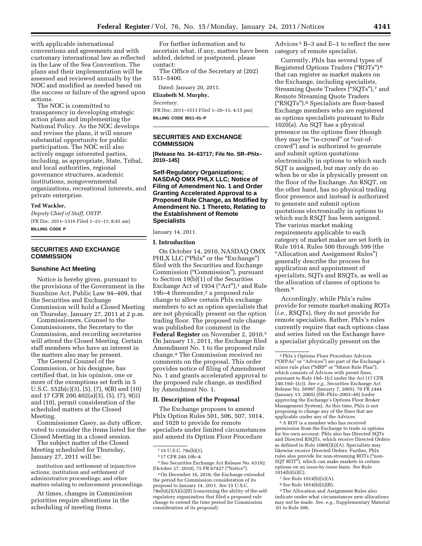with applicable international conventions and agreements and with customary international law as reflected in the Law of the Sea Convention. The plans and their implementation will be assessed and reviewed annually by the NOC and modified as needed based on the success or failure of the agreed upon actions.

The NOC is committed to transparency in developing strategic action plans and implementing the National Policy. As the NOC develops and revises the plans, it will ensure substantial opportunity for public participation. The NOC will also actively engage interested parties, including, as appropriate, State, Tribal, and local authorities, regional governance structures, academic institutions, nongovernmental organizations, recreational interests, and private enterprise.

#### **Ted Wackler,**

*Deputy Chief of Staff, OSTP.*  [FR Doc. 2011–1316 Filed 1–21–11; 8:45 am] **BILLING CODE P** 

## **SECURITIES AND EXCHANGE COMMISSION**

## **Sunshine Act Meeting**

Notice is hereby given, pursuant to the provisions of the Government in the Sunshine Act, Public Law 94–409, that the Securities and Exchange Commission will hold a Closed Meeting on Thursday, January 27, 2011 at 2 p.m.

Commissioners, Counsel to the Commissioners, the Secretary to the Commission, and recording secretaries will attend the Closed Meeting. Certain staff members who have an interest in the matters also may be present.

The General Counsel of the Commission, or his designee, has certified that, in his opinion, one or more of the exemptions set forth in 5 U.S.C. 552b(c)(3), (5), (7), 9(B) and (10) and 17 CFR 200.402(a)(3), (5), (7), 9(ii) and (10), permit consideration of the scheduled matters at the Closed Meeting.

Commissioner Casey, as duty officer, voted to consider the items listed for the Closed Meeting in a closed session.

The subject matter of the Closed Meeting scheduled for Thursday, January 27, 2011 will be:

institution and settlement of injunctive actions; institution and settlement of administrative proceedings; and other matters relating to enforcement proceedings.

At times, changes in Commission priorities require alterations in the scheduling of meeting items.

For further information and to ascertain what, if any, matters have been added, deleted or postponed, please contact:

The Office of the Secretary at (202) 551–5400.

Dated: January 20, 2011. **Elizabeth M. Murphy,**  *Secretary.*  [FR Doc. 2011–1513 Filed 1–20–11; 4:15 pm]

**BILLING CODE 8011–01–P** 

# **SECURITIES AND EXCHANGE COMMISSION**

**[Release No. 34–63717; File No. SR–Phlx– 2010–145]** 

**Self-Regulatory Organizations; NASDAQ OMX PHLX LLC; Notice of Filing of Amendment No. 1 and Order Granting Accelerated Approval to a Proposed Rule Change, as Modified by Amendment No. 1 Thereto, Relating to the Establishment of Remote Specialists** 

#### January 14, 2011.

#### **I. Introduction**

On October 14, 2010, NASDAQ OMX PHLX LLC ("Phlx" or the "Exchange") filed with the Securities and Exchange Commission (''Commission''), pursuant to Section 19(b)(1) of the Securities Exchange Act of 1934 ("Act"),<sup>1</sup> and Rule 19b–4 thereunder,2 a proposed rule change to allow certain Phlx exchange members to act as option specialists that are not physically present on the option trading floor. The proposed rule change was published for comment in the **Federal Register** on November 2, 2010.3 On January 11, 2011, the Exchange filed Amendment No. 1 to the proposed rule change.4 The Commission received no comments on the proposal. This order provides notice of filing of Amendment No. 1 and grants accelerated approval to the proposed rule change, as modified

## **II. Description of the Proposal**

by Amendment No. 1.

The Exchange proposes to amend Phlx Option Rules 501, 506, 507, 1014, and 1020 to provide for remote specialists under limited circumstances and amend its Option Floor Procedure

3*See* Securities Exchange Act Release No. 63192 (October 27, 2010), 75 FR 67427 (''Notice'').

4On December 16, 2010, the Exchange extended the period for Commission consideration of its proposal to January 14, 2011. *See* 15 U.S.C. 78s(b)(2)(A)(ii)(II) (concerning the ability of the selfregulatory organization that filed a proposed rule change to extend the time period for Commission consideration of its proposal).

Advices 5 B–3 and E–1 to reflect the new category of remote specialist.

Currently, Phlx has several types of Registered Options Traders (''ROTs'') 6 that can register as market makers on the Exchange, including specialists, Streaming Quote Traders ("SQTs"),<sup>7</sup> and Remote Streaming Quote Traders (''RSQTs'').8 Specialists are floor-based Exchange members who are registered as options specialists pursuant to Rule 1020(a). An SQT has a physical presence on the options floor (though they may be "in-crowd" or "out-ofcrowd'') and is authorized to generate and submit option quotations electronically in options to which such SQT is assigned, but may only do so when he or she is physically present on the floor of the Exchange. An RSQT, on the other hand, has no physical trading floor presence and instead is authorized to generate and submit option quotations electronically in options to which such RSQT has been assigned. The various market making requirements applicable to each category of market maker are set forth in Rule 1014. Rules 500 through 599 (the ''Allocation and Assignment Rules'') generally describe the process for application and appointment of specialists, SQTs and RSQTs, as well as the allocation of classes of options to them.9

Accordingly, while Phlx's rules provide for remote market-making ROTs (*i.e.,* RSQTs), they do not provide for remote specialists. Rather, Phlx's rules currently require that each options class and series listed on the Exchange have a specialist physically present on the

6A ROT is a member who has received permission from the Exchange to trade in options for his own account. Phlx also has Directed SQTs and Directed RSQTs, which receive Directed Orders as defined in Rule 1080(l)(i)(A). Specialists may likewise receive Directed Orders. Further, Phlx rules also provide for non-streaming ROTs (''non-SQT ROT''), which can make markets in certain options on an issue-by-issue basis. *See* Rule  $1014(b)(ii)(C)$ .

8*See* Rule 1014(b)(ii)(B).

9The Allocation and Assignment Rules also indicate under what circumstances new allocations may not be made. *See, e.g.,* Supplementary Material .01 to Rule 506.

<sup>1</sup> 15 U.S.C. 78s(b)(1).

<sup>2</sup> 17 CFR 240.19b–4.

<sup>5</sup>Phlx's Options Floor Procedure Advices (''OFPAs'' or ''Advices'') are part of the Exchange's minor rule plan (''MRP'' or ''Minor Rule Plan''), which consists of Advices with preset fines, pursuant to Rule 19d–1(c) under the Act (17 CFR 240.19d–1(c)). *See e.g.,* Securities Exchange Act Release No. 50997 (January 7, 2005), 70 FR 2444 (January 13, 2005) (SR–Phlx–2003–40) (order approving the Exchange's Options Floor Broker Management System). As this time, Phlx is not proposing to change any of the fines that are applicable under any of the Advices.

<sup>7</sup>*See* Rule 1014(b)(ii)(A).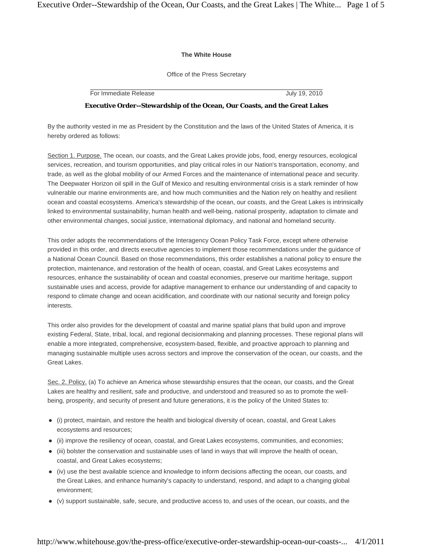# **The White House**

Office of the Press Secretary

For Immediate Release **For Immediate Release** And The Second 19, 2010

# **Executive Order--Stewardship of the Ocean, Our Coasts, and the Great Lakes**

By the authority vested in me as President by the Constitution and the laws of the United States of America, it is hereby ordered as follows:

Section 1. Purpose. The ocean, our coasts, and the Great Lakes provide jobs, food, energy resources, ecological services, recreation, and tourism opportunities, and play critical roles in our Nation's transportation, economy, and trade, as well as the global mobility of our Armed Forces and the maintenance of international peace and security. The Deepwater Horizon oil spill in the Gulf of Mexico and resulting environmental crisis is a stark reminder of how vulnerable our marine environments are, and how much communities and the Nation rely on healthy and resilient ocean and coastal ecosystems. America's stewardship of the ocean, our coasts, and the Great Lakes is intrinsically linked to environmental sustainability, human health and well-being, national prosperity, adaptation to climate and other environmental changes, social justice, international diplomacy, and national and homeland security.

This order adopts the recommendations of the Interagency Ocean Policy Task Force, except where otherwise provided in this order, and directs executive agencies to implement those recommendations under the guidance of a National Ocean Council. Based on those recommendations, this order establishes a national policy to ensure the protection, maintenance, and restoration of the health of ocean, coastal, and Great Lakes ecosystems and resources, enhance the sustainability of ocean and coastal economies, preserve our maritime heritage, support sustainable uses and access, provide for adaptive management to enhance our understanding of and capacity to respond to climate change and ocean acidification, and coordinate with our national security and foreign policy interests.

This order also provides for the development of coastal and marine spatial plans that build upon and improve existing Federal, State, tribal, local, and regional decisionmaking and planning processes. These regional plans will enable a more integrated, comprehensive, ecosystem-based, flexible, and proactive approach to planning and managing sustainable multiple uses across sectors and improve the conservation of the ocean, our coasts, and the Great Lakes.

Sec. 2. Policy. (a) To achieve an America whose stewardship ensures that the ocean, our coasts, and the Great Lakes are healthy and resilient, safe and productive, and understood and treasured so as to promote the wellbeing, prosperity, and security of present and future generations, it is the policy of the United States to:

- (i) protect, maintain, and restore the health and biological diversity of ocean, coastal, and Great Lakes ecosystems and resources;
- (ii) improve the resiliency of ocean, coastal, and Great Lakes ecosystems, communities, and economies;
- (iii) bolster the conservation and sustainable uses of land in ways that will improve the health of ocean, coastal, and Great Lakes ecosystems;
- (iv) use the best available science and knowledge to inform decisions affecting the ocean, our coasts, and the Great Lakes, and enhance humanity's capacity to understand, respond, and adapt to a changing global environment;
- (v) support sustainable, safe, secure, and productive access to, and uses of the ocean, our coasts, and the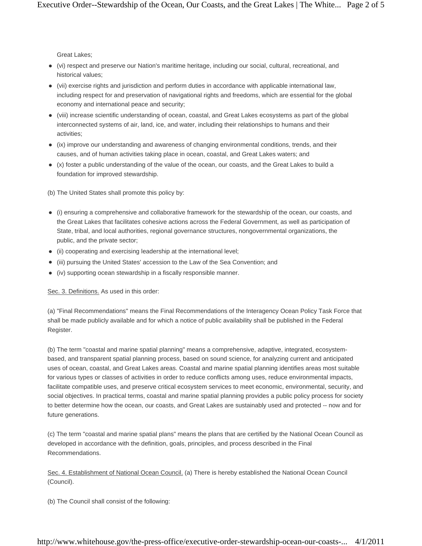Great Lakes;

- (vi) respect and preserve our Nation's maritime heritage, including our social, cultural, recreational, and historical values;
- z (vii) exercise rights and jurisdiction and perform duties in accordance with applicable international law, including respect for and preservation of navigational rights and freedoms, which are essential for the global economy and international peace and security;
- z (viii) increase scientific understanding of ocean, coastal, and Great Lakes ecosystems as part of the global interconnected systems of air, land, ice, and water, including their relationships to humans and their activities;
- (ix) improve our understanding and awareness of changing environmental conditions, trends, and their causes, and of human activities taking place in ocean, coastal, and Great Lakes waters; and
- (x) foster a public understanding of the value of the ocean, our coasts, and the Great Lakes to build a foundation for improved stewardship.

(b) The United States shall promote this policy by:

- (i) ensuring a comprehensive and collaborative framework for the stewardship of the ocean, our coasts, and the Great Lakes that facilitates cohesive actions across the Federal Government, as well as participation of State, tribal, and local authorities, regional governance structures, nongovernmental organizations, the public, and the private sector;
- $\bullet$  (ii) cooperating and exercising leadership at the international level;
- (iii) pursuing the United States' accession to the Law of the Sea Convention; and
- (iv) supporting ocean stewardship in a fiscally responsible manner.

Sec. 3. Definitions. As used in this order:

(a) "Final Recommendations" means the Final Recommendations of the Interagency Ocean Policy Task Force that shall be made publicly available and for which a notice of public availability shall be published in the Federal Register.

(b) The term "coastal and marine spatial planning" means a comprehensive, adaptive, integrated, ecosystembased, and transparent spatial planning process, based on sound science, for analyzing current and anticipated uses of ocean, coastal, and Great Lakes areas. Coastal and marine spatial planning identifies areas most suitable for various types or classes of activities in order to reduce conflicts among uses, reduce environmental impacts, facilitate compatible uses, and preserve critical ecosystem services to meet economic, environmental, security, and social objectives. In practical terms, coastal and marine spatial planning provides a public policy process for society to better determine how the ocean, our coasts, and Great Lakes are sustainably used and protected -- now and for future generations.

(c) The term "coastal and marine spatial plans" means the plans that are certified by the National Ocean Council as developed in accordance with the definition, goals, principles, and process described in the Final Recommendations.

Sec. 4. Establishment of National Ocean Council. (a) There is hereby established the National Ocean Council (Council).

(b) The Council shall consist of the following: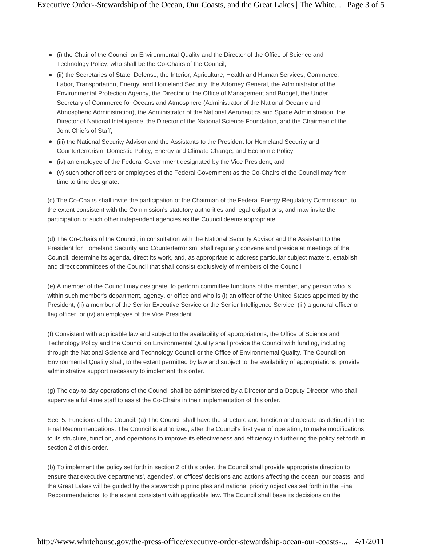- (i) the Chair of the Council on Environmental Quality and the Director of the Office of Science and Technology Policy, who shall be the Co-Chairs of the Council;
- z (ii) the Secretaries of State, Defense, the Interior, Agriculture, Health and Human Services, Commerce, Labor, Transportation, Energy, and Homeland Security, the Attorney General, the Administrator of the Environmental Protection Agency, the Director of the Office of Management and Budget, the Under Secretary of Commerce for Oceans and Atmosphere (Administrator of the National Oceanic and Atmospheric Administration), the Administrator of the National Aeronautics and Space Administration, the Director of National Intelligence, the Director of the National Science Foundation, and the Chairman of the Joint Chiefs of Staff;
- (iii) the National Security Advisor and the Assistants to the President for Homeland Security and Counterterrorism, Domestic Policy, Energy and Climate Change, and Economic Policy;
- (iv) an employee of the Federal Government designated by the Vice President; and
- (v) such other officers or employees of the Federal Government as the Co-Chairs of the Council may from time to time designate.

(c) The Co-Chairs shall invite the participation of the Chairman of the Federal Energy Regulatory Commission, to the extent consistent with the Commission's statutory authorities and legal obligations, and may invite the participation of such other independent agencies as the Council deems appropriate.

(d) The Co-Chairs of the Council, in consultation with the National Security Advisor and the Assistant to the President for Homeland Security and Counterterrorism, shall regularly convene and preside at meetings of the Council, determine its agenda, direct its work, and, as appropriate to address particular subject matters, establish and direct committees of the Council that shall consist exclusively of members of the Council.

(e) A member of the Council may designate, to perform committee functions of the member, any person who is within such member's department, agency, or office and who is (i) an officer of the United States appointed by the President, (ii) a member of the Senior Executive Service or the Senior Intelligence Service, (iii) a general officer or flag officer, or (iv) an employee of the Vice President.

(f) Consistent with applicable law and subject to the availability of appropriations, the Office of Science and Technology Policy and the Council on Environmental Quality shall provide the Council with funding, including through the National Science and Technology Council or the Office of Environmental Quality. The Council on Environmental Quality shall, to the extent permitted by law and subject to the availability of appropriations, provide administrative support necessary to implement this order.

(g) The day-to-day operations of the Council shall be administered by a Director and a Deputy Director, who shall supervise a full-time staff to assist the Co-Chairs in their implementation of this order.

Sec. 5. Functions of the Council. (a) The Council shall have the structure and function and operate as defined in the Final Recommendations. The Council is authorized, after the Council's first year of operation, to make modifications to its structure, function, and operations to improve its effectiveness and efficiency in furthering the policy set forth in section 2 of this order.

(b) To implement the policy set forth in section 2 of this order, the Council shall provide appropriate direction to ensure that executive departments', agencies', or offices' decisions and actions affecting the ocean, our coasts, and the Great Lakes will be guided by the stewardship principles and national priority objectives set forth in the Final Recommendations, to the extent consistent with applicable law. The Council shall base its decisions on the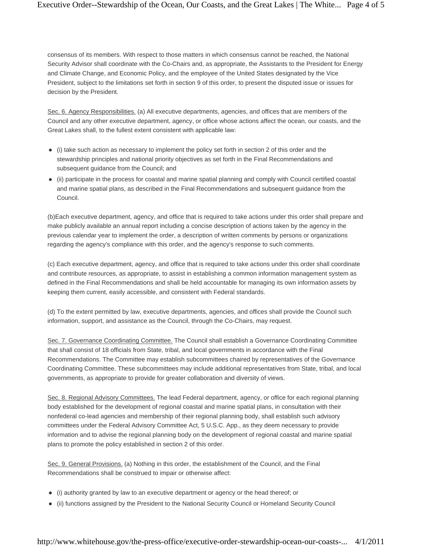consensus of its members. With respect to those matters in which consensus cannot be reached, the National Security Advisor shall coordinate with the Co-Chairs and, as appropriate, the Assistants to the President for Energy and Climate Change, and Economic Policy, and the employee of the United States designated by the Vice President, subject to the limitations set forth in section 9 of this order, to present the disputed issue or issues for decision by the President.

Sec. 6. Agency Responsibilities. (a) All executive departments, agencies, and offices that are members of the Council and any other executive department, agency, or office whose actions affect the ocean, our coasts, and the Great Lakes shall, to the fullest extent consistent with applicable law:

- (i) take such action as necessary to implement the policy set forth in section 2 of this order and the stewardship principles and national priority objectives as set forth in the Final Recommendations and subsequent guidance from the Council; and
- (ii) participate in the process for coastal and marine spatial planning and comply with Council certified coastal and marine spatial plans, as described in the Final Recommendations and subsequent guidance from the Council.

(b)Each executive department, agency, and office that is required to take actions under this order shall prepare and make publicly available an annual report including a concise description of actions taken by the agency in the previous calendar year to implement the order, a description of written comments by persons or organizations regarding the agency's compliance with this order, and the agency's response to such comments.

(c) Each executive department, agency, and office that is required to take actions under this order shall coordinate and contribute resources, as appropriate, to assist in establishing a common information management system as defined in the Final Recommendations and shall be held accountable for managing its own information assets by keeping them current, easily accessible, and consistent with Federal standards.

(d) To the extent permitted by law, executive departments, agencies, and offices shall provide the Council such information, support, and assistance as the Council, through the Co-Chairs, may request.

Sec. 7. Governance Coordinating Committee. The Council shall establish a Governance Coordinating Committee that shall consist of 18 officials from State, tribal, and local governments in accordance with the Final Recommendations. The Committee may establish subcommittees chaired by representatives of the Governance Coordinating Committee. These subcommittees may include additional representatives from State, tribal, and local governments, as appropriate to provide for greater collaboration and diversity of views.

Sec. 8. Regional Advisory Committees. The lead Federal department, agency, or office for each regional planning body established for the development of regional coastal and marine spatial plans, in consultation with their nonfederal co-lead agencies and membership of their regional planning body, shall establish such advisory committees under the Federal Advisory Committee Act, 5 U.S.C. App., as they deem necessary to provide information and to advise the regional planning body on the development of regional coastal and marine spatial plans to promote the policy established in section 2 of this order.

Sec. 9. General Provisions. (a) Nothing in this order, the establishment of the Council, and the Final Recommendations shall be construed to impair or otherwise affect:

- (i) authority granted by law to an executive department or agency or the head thereof; or
- (ii) functions assigned by the President to the National Security Council or Homeland Security Council